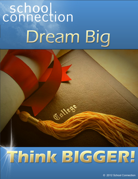# connection Dream Big



# Think BIGGER!

C 2012 School Connection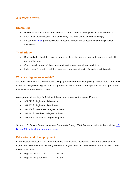# *It's Your Future…*

# **Dream Big**

- Research careers and salaries; choose a career based on what you want your future to be.
- Look for suitable colleges. (And don't worry—SchoolConnection.com can help!)
- Fill out the **[FAFSA](http://www.fafsa.ed.gov/)** (free application for federal student aid) to determine your eligibility for financial aid.

# **Think Bigger**

- Don't settle for the status quo a degree could be the first step to a better career, a better life, and a better you!
- Going to college doesn't have to mean ignoring your current responsibilities.
- It also doesn't have to break the bank; learn more about paying for college in this guide!

# **Why is a degree so valuable?**

According to the U.S. Census Bureau, college graduates earn an average of \$1 million more during their careers than high school graduates. A degree may allow for more career opportunities and open doors that would otherwise remain closed.

Average annual earnings for full-time, full-year workers above the age of 18 were:

- \$21,023 for high school drop outs
- \$31,283 for high school graduates
- \$34,808 for Associate's degree recipients
- \$58,613 for Bachelor's degree recipients
- \$83,144 for Advanced degree recipients

Source: [U.S.](http://www.census.gov/hhes/socdemo/education/data/cps/historical/index.html) Census Bureau, American Community Survey, 2008. To see historical tables, visit the U.S. [Bureau Educational Attainment web page.](http://www.census.gov/hhes/socdemo/education/data/cps/historical/index.html)

# **Education and Unemployment**

In the past few years, the U.S. government has also released reports that show that those that have higher education are much less likely to be unemployed. Here are unemployment rates for 2010 based on education level:

- High school drop outs 14.9%
- High school graduates 10.3%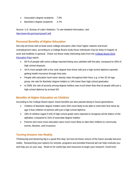- Associate's degree recipients 7.0%
- Bachelor's degree recipients 4.7%

Source: U.S. Bureau of Labor Statistics. To see detailed information, visit [http://www.bls.gov/cps/cpsaat7.pdf.](http://www.bls.gov/cps/cpsaat7.pdf)

#### **Personal Benefits of Higher Education**

Not only do those with at least some college education often have higher salaries and lower unemployment rates, according to a College Board study these individuals may be likely to happier at work and healthier in general. Check out these really interesting stats from the [College Board 2010](http://trends.collegeboard.org/education_pays)  [Education Pays](http://trends.collegeboard.org/education_pays) report:

- 58 % of people with some college reported being very satisfied with the jobs, compared to 40% of high school dropouts
- 18 % more people with a four year degree than those with just a high school diploma reported getting health insurance through their jobs
- People with education have lower obesity rates throughout their lives; e.g. in the 25-34 age group, the rate for Bachelor degree holders is 14% lower than high school graduates
- In 2008, the rate of poverty among degree holders was much lower than that of people with just a high school diploma by at least 5%

# **Benefits of Higher Education on Children**

According to the College Board report, these benefits are also passed along to future generations.

- Children of Bachelor degree holders were 20% more likely to be able to write their first name by age 5 than children of parents with just a high school diploma
- 18% of children (aged 3 to5) of high school grads were reported to recognize all the letters of the alphabet, compared to 31% of associate degree holders
- Parents who have more education were much more likely to take their children to community events, libraries, and museums

# **Turning Dreams into Reality**

Thinking big and dreaming big is a great first step, but how do these visions of the future actually become reality. Researching your options for schools, programs and possible financial aid can help motivate you and help you on your way. Read on for useful tips and resources to begin your research. Good luck!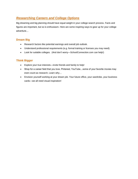# *Researching Careers and College Options*

Big dreaming and big planning should have equal weight in your college search process. Facts and figures are important, but so is enthusiasm. Here are some inspiring ways to gear up for your college adventure…

# **Dream Big**

- Research factors like potential earnings and overall job outlook.
- Understand professional requirements (e.g. formal training or licenses you may need).
- Look for suitable colleges. (And don't worry—SchoolConnection.com can help!)

# **Think Bigger**

- Explore your true interests—invite friends and family to help!
- Shop for a career field that you love. Pinterest, YouTube…some of your favorite movies may even count as research. Learn why…
- Envision yourself working at your dream job. Your future office, your wardrobe, your business cards—we all need visual inspiration!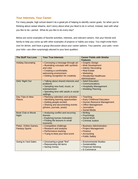# **Your Interests, Your Career**

For many people, high school doesn't do a great job of helping to identify career goals. So when you're thinking about career dreams, don't worry about what you liked to do in school. Instead, start with what you like to do—period. What do you like to do every day?

Below are some examples of favorite activities, interests, and relevant careers. Ask your friends and family to help you come up with other examples of projects or habits you enjoy. You might invite them over for dinner, and have a group discussion about your career options. Your parents, your pals—even your kids—are often surprisingly attuned to your best qualities.

| <b>The Stuff You Love</b>                     | <b>Your True Interests</b>                                                                                                                                                           | <b>Career Fields with Similar</b>                                                                                                            |
|-----------------------------------------------|--------------------------------------------------------------------------------------------------------------------------------------------------------------------------------------|----------------------------------------------------------------------------------------------------------------------------------------------|
|                                               |                                                                                                                                                                                      | <b>Features</b>                                                                                                                              |
| <b>Holiday Decorating</b>                     | • Conveying a message through art<br>• Illustrating concepts with symbols<br>and color<br>• Creating a comfortable,<br>welcoming environment<br>• Getting recognition for creativity | • Graphic Design<br>• Web Development<br>• Interior Decorating<br>• Real Estate<br>• Marketing<br>• Residential Healthcare<br>Administration |
| Girls' Night Out                              | • Talking about shared interests and<br>problems<br>· Sampling new food, music, or<br>entertainment<br>• Spending time with adults in social<br>settings                             | • Adult Education<br>• Communications<br>• Hospitality Management<br>• Wedding Planning                                                      |
| Day Trips to New<br><b>Places</b>             | • Planning calendars and activities<br>• Identifying learning opportunities<br>• Getting people excited<br>• Sharing and documenting events<br>(photos, journals, posts)             | • Teaching<br>• Early Childhood Education<br>• Human Resource Management<br>• Office Management<br>• Journalism<br>• Social Media            |
| <b>Book Club or Movie</b><br>Night            | • Analyzing conflict and recurring<br>themes<br>• Exploring human motivation<br>• Finding life lessons in small<br>moments                                                           | • Writing<br>• Psychology<br>· Social Work<br>• Criminal Justice                                                                             |
| Poker, Online Games,<br><b>Fantasy Sports</b> | • Competitive challenge<br>• Research and analysis<br>• Performance tracking<br>• Trying to beat your best score                                                                     | • Business Administration<br>• Project Management<br>• Finance<br>• Accounting<br>• Public Safety                                            |
| <b>Going to Yard Sales</b>                    | • Uncovering a great "find"<br>• Repurposing old items<br>• Saving money                                                                                                             | • Environmental Studies<br>• Sustainability<br>• Financial Advising<br>• E-Commerce                                                          |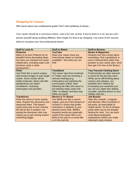# **Shopping for Careers**

Still unsure about your professional goals? Don't start grabbing at straws…

Your career should be a conscious choice—and a fun one, at that. If you're stuck in a rut, but you can't picture yourself doing anything different, then maybe it's time to go shopping. Use some of the sources below to visualize your new professional dream:

| <b>Stuff to Look At</b>                                                                                                                                                                                                                                                                     | <b>Stuff to Watch</b>                                                                                                                                                                                                                                                                                                                   | <b>Stuff to Browse</b>                                                                                                                                                                                                                                                                                                                 |
|---------------------------------------------------------------------------------------------------------------------------------------------------------------------------------------------------------------------------------------------------------------------------------------------|-----------------------------------------------------------------------------------------------------------------------------------------------------------------------------------------------------------------------------------------------------------------------------------------------------------------------------------------|----------------------------------------------------------------------------------------------------------------------------------------------------------------------------------------------------------------------------------------------------------------------------------------------------------------------------------------|
| <b>Pinterest</b><br>Many of us love Pinterest for its<br>beautiful home decorating ideas,<br>but have you checked out career-<br>related pins, including super-cute<br>business cards or desk<br>accessories?                                                                               | YouTube<br>Does your career have any<br>instructional videos or tutorials<br>available? See what you can<br>find!                                                                                                                                                                                                                       | <b>Books &amp; Magazines</b><br>Amazon.com has a book about<br>everything. Find a guidebook or<br>even a fictional best-seller than<br>pertains to your career plan. (And<br>then get it for free at the library.)                                                                                                                     |
| <b>Flickr</b><br>Use Flickr like a search engine,<br>and browse images of your target<br>career. Some results will be<br>totally irrelevant; others will offer<br>perspectives you hadn't<br>considered-including<br>stereotypes and parodies.                                              | <b>TweetDeck</b><br>Get career input from hundreds<br>of Twitter users by choosing a<br>relevant hashtag (e.g.<br>#education) and watching the<br>conversation unfold. Start<br>following the folks who seem to<br>be tweeting really useful info.<br>Offer "re-tweets" and they may<br>follow you back!                                | <b>Your Favorite Clothing Store</b><br>Professionals are often advised<br>to dress for the job they want.<br>While you're still thinking about<br>careers and colleges, you<br>probably don't need to be<br>revamping your wardrobe just<br>yet, but you might start adding<br>versatile, polished pieces to your<br>holiday wish list |
| <b>TripAdvisor</b><br>Enter the name of some nearby<br>cities. Explore the attractions and<br>resources there. This doesn't<br>mean every day of your working<br>life will be like a vacation, but<br>eyeing the downtown vibe may<br>inspire you to get moving toward<br>something bigger. | <b>Movies &amp; TV Shows</b><br>Use IMDB.com like a search<br>engine, and you'll find dozens of<br>movies/TV shows that profile<br>characters or plotlines in your<br>desired career field. IMDB's<br>keyword results are especially<br>useful if the career title is not<br>likely to be used in a movie title<br>or in the cast list. | <b>Job Boards</b><br>Sites like LinkedIn, Craigslist,<br>and Monster offers hundreds of<br>job posts, all searchable by<br>career sector. It's fun to browse<br>posts when you're not actually<br>looking for work. You can learn<br>more about employers'<br>expectations before you make<br>important study choices.                 |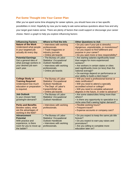# **Put Some Thought into Your Career Plan**

After you've spent some time shopping for career options, you should have one or two specific possibilities in mind. Hopefully by now you're ready to ask some serious questions about how and why your target goal makes sense. There are plenty of factors that could support or discourage your career choice. Here's a graph to help you explore influencing factors:

| <b>Influencing Factors</b>                                                                                                    | Where to Find the Info                                                                                                                                            | <b>Other Questions to Ask</b>                                                                                                                                                                                                                                                                |
|-------------------------------------------------------------------------------------------------------------------------------|-------------------------------------------------------------------------------------------------------------------------------------------------------------------|----------------------------------------------------------------------------------------------------------------------------------------------------------------------------------------------------------------------------------------------------------------------------------------------|
| <b>Nature of the Work</b><br>Understand what people<br>in your targeted job<br>actually do every day.                         | • Interviews with working<br>professionals<br>• Trade magazines or<br>industry journals<br>• Online job boards                                                    | • Do you care if your job is stressful,<br>dangerous, unpredictable, or monotonous?<br>• Do you expect to find fulfillment and<br>purpose in your career?<br>. Do you want more or less responsibility?                                                                                      |
| <b>Potential Earnings</b><br>Get a general idea of<br>what average workers in<br>your desired job earn<br>each year.          | • The Bureau of Labor<br><b>Statistics' Occupational</b><br><b>Outlook Handbook</b><br>• Interviews with working<br>professionals.<br>• Online job boards         | • Are starting salaries significantly lower<br>than wages for more experienced<br>workers?<br>• Are workers in certain states or cities<br>paid significantly more (or less) than the<br>national average?<br>• Do earnings depend on performance or<br>your ability to build a client base? |
| <b>College Study or</b><br><b>Training Required</b><br><b>Understand how much</b><br>education or preparation<br>is required. | • The Bureau of Labor<br><b>Statistics' Occupational</b><br><b>Outlook Handbook</b><br>• The Dept. of Labor's<br><b>CareerInfoNet site</b><br>• Online job boards | • Will you need a professional license or<br>state certification?<br>• Will you need to attend a specially<br>accredited school or college?<br>• Will you need to complete advanced<br>degrees in the future, in order to advance?                                                           |
| <b>Job Outlook</b><br>Is your chosen field<br>growing/in-demand?                                                              | • The Bureau of Labor<br><b>Statistics' Occupational</b><br><b>Outlook Handbook</b>                                                                               | • Are some states/cities hiring more than<br>others?<br>· Is there any opportunity to specialize in a<br>niche area that's seeing higher demand?                                                                                                                                             |
| <b>Perks and Benefits</b><br>Besides salary, what<br>are the advantages of<br>working in the field?                           | • Interviews with working<br>professionals.                                                                                                                       | • Flexible working hours?<br>• Frequent travel?<br>• Expense accounts or company cars?                                                                                                                                                                                                       |
| <b>Advancement</b><br><b>Potential</b><br>With practice and<br>experience, is there<br>room for you to move up<br>the ladder? | • The Bureau of Labor<br><b>Statistics' Occupational</b><br><b>Outlook Handbook</b><br>• Interviews with working<br>professionals.                                | • Do you expect to keep the same job title<br>forever?<br>• Do you expect to earn pay raises and<br>promotions?<br>• Are you willing to complete more<br>education later on?                                                                                                                 |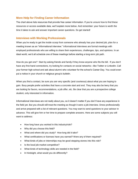#### **More Help for Finding Career Information**

The chart above lists resources that provide free career information. If you're unsure how to find these resources or access available data, we'll explain more below. And remember: your future is worth the time it takes to ask and answer important career questions. So get started!

#### **Interviews with Working Professionals**

When you're ready to get the inside scoop from someone who already has your desired job, plan for a meeting known as an "informational interview." Informational interviews are formal meetings with employed professionals who are willing to share their experiences, challenges, tips, and opinions. In an ideal world, we'd all schedule one of these meetings before starting a long-term job path.

How do you get one? Start by asking friends and family if they know anyone who fits the bill. If you don't have any first-hand connections, try looking for contacts on social networks—like Twitter or LinkedIn. Call your former high school and ask about alumni who volunteer for the school's Career Day. You could even put a notice in your church or religious group's bulletin.

When you find a contact, be sure you are very specific (and courteous) about what you are hoping to gain. Busy people prefer activities that have a concrete start and end. They may also be leery that you are looking for favors, recommendations, a job offer, etc. Be clear that you are a prospective college student, only interested in information.

Informational interviews are not really about you, so it doesn't matter if you don't have any experience in the field yet. But you should still treat the meeting as though it were a job interview. Dress professionally and arrive prepared with a list of relevant questions. You may want to send questions to your advisor in advance. This will give him or her time to prepare complete answers. Here are some subjects you will want to address:

- How long have you worked in this industry/role?
- Why did you choose this field?
- What and where did you study? How long did it take?
- What certifications or licenses have you earned? Were any of them required?
- What kinds of jobs or internships may be good stepping stones into this role?
- Is the local job market competitive?
- What kinds of technology skills are needed in the field?
- In hindsight, what would you do differently?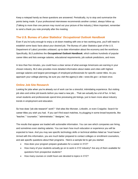Keep a notepad handy as these questions are answered. Periodically, try to stop and summarize the points being made. If your professional interviewee recommends another contact, always follow up. (Talking to more than one person may round out your picture of the industry.) More important, remember to send a thank you note promptly after the meeting.

# **The U.S. Bureau of Labor Statistics'** *Occupational Outlook Handbook*

Even if you're lucky enough to enjoy a sit-down meeting with one or two working pros, you'll still need to establish some basic facts about your desired job. The Bureau of Labor Statistics (part of the U.S. Department of Labor) provides unbiased, up-to-date information about the economy and the workforce. Specifically, BLS publishes the *Occupational Outlook Handbook*, which outlines hundreds of popular career titles and lists average salaries, educational requirements, job outlook predictions, and more.

In less than five minutes, you could have a clear sense of what average Americans are earning in your chosen industry. BLS also provides more detailed information about states and cities with highest average salaries and largest percentages of employed professionals for specific career titles. As you approach your college planning, be sure you visit the agency's site—www.bls.gov—at least once.

# **Online Job Site Research**

Looking for jobs when you're already out of work can be a stressful, intimidating experience. But visiting job sites and online job boards *before* you need a new job… That can actually be a lot of fun. In fact, smart students and professionals spend time previewing job listings, just to learn more about industry trends in employment and education.

So how does "job site research" work? Visit sites like Monster, LinkedIn, or even Craigslist. Search for career titles you wish you had. If you can't find exact matches, try plugging in some broad keywords, like "teacher," "counselor," "administrator," "designer," etc.

The results that appear are loaded with actionable information. You can see which companies are hiring, and sometimes even starting salaries. You can learn how much education or experience you will be expected to have. And you may see specific technology skills or technical abilities listed as "must haves." Armed with this information, you are much better prepared to contact colleges or enrollment counselors, and ask specific questions about their programs. Here's a sample list to get you started:

- How does your program prepare graduates for a career in XYZ?
- How many of your students actually go on to work in XYZ industry? Are any of them available for questions from prospective students?
- How many courses or credit hours are devoted to topics in XYZ?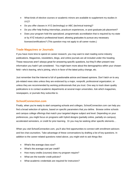- What kinds of elective courses or academic minors are available to supplement my studies in XYZ?
- Do you offer classes in XYZ (technology) or ABC (technical training)?
- Do you offer help finding internships, practicum experiences, or post-graduate job placement?
- Does your program hold the specialized, programmatic accreditation that is required by my state or by XYZ industry's professional board, allowing graduates to pursue any necessary licenses/certifications? (This question may not apply to all career routes.)

#### **Trade Magazines or Journals**

If you have more time to spend on career research, you may want to start reading some industry publications. Magazines, newsletters, blogs, and online journals are all included under this heading. These resources aren't always great for answering specific questions, but they'll often present new information you hadn't yet considered. You might learn more about the demographics within your chosen field—who's leaving, who's joining, who's in favor of the latest policy change, etc.

Just remember that the Internet is full of questionable advice and biased opinions. Don't latch on to any job-related news sites unless they are endorsed by a major, nonprofit, professional organization; or unless they are recommended by working professionals that you trust. One way to track down quality publications is to contact academic departments at several major universities. Ask which magazines, newspapers, or journals they subscribe to.

# **SchoolConnection.com**

Finally, when you're ready to start comparing schools and colleges, SchoolConnection.com can help you find a broad selection of options, based on specific parameters that *you* define. Browse online schools and campus college offerings that match your targeted degree subject and level. Depending on your preferences, you might focus on programs with hybrid designs (partially online, partially on-campus), accelerated semesters, or credit for prior learning. Or you may be seeking other specific elements…

When you visit SchoolConnection.com, you'll also find opportunities to connect with enrollment advisors and live chat counselors. Take advantage of these conversations by drafting a list of key questions. In addition to the career-related questions noted above, you might wish to ask things like:

- What's the average class size?
- What's the average cost per credit?
- How many credits (courses) does my program require?
- What are the transfer credit policies?
- What academic credentials are required for instructors?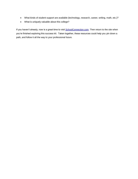- What kinds of student support are available (technology, research, career, writing, math, etc.)?
- What is uniquely valuable about this college?

If you haven't already, now is a great time to visit **SchoolConnection.com**. Then return to the site when you're finished exploring this success kit. Taken together, these resources could help you pin down a path, and follow it all the way to your professional future.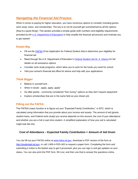# *Navigating the Financial Aid Process*

When it comes to paying for higher education, you have numerous options to consider including grants, work study, loans, and scholarships. The key is to not let yourself get overwhelmed by all the options (they're a good thing!). This section provides a simple guide (with numbers and eligibility requirements provided by the [U.S. Department of Education\)](http://studentaid.ed.gov/) to help simplify the financial aid process and motivate you to get started!

# **Dream Big**

- Fill out the [FAFSA](http://www.fafsa.ed.gov/) (Free Application for Federal Student Aid) to determine your eligibility for financial aid
- Read through the U.S. Department of Education's [Federal Student Aid At-](http://studentaid.ed.gov/sites/default/files/2012-13-funding-your-education.pdf) A -Glance for full details on all assistance options
- Consider work study programs, which allow you to work for the funds you need for school
- Visit your school's financial aid office for advice and help with your applications

# **Think Bigger**

- Believe in yourself and...
- When in doubt—apply, apply, apply!
- Go after grants…commonly considered "free money" options as they don't require repayment
- Explore scholarships that are in the same field as your dream job

# **Filling out the FAFSA**

The FAFSA's basic function is to figure out your "Expected Family Contribution," or EFC, which is calculated using information that you provide about your income and assets. The amount of aid (grants, student loans, and Federal work-study) you receive depends on this amount, the cost of your attendance and whether you are a full or part-time student. A simplified explanation of how your aid is calculated might look like this:

# **Cost of Attendance – Expected Family Contribution = Amount of Aid Given**

You can fill out your FAFSA online at [www.fafsa.ed.gov,](http://www.fafsa.ed.gov/#_blank) download a PDF version of the form at [http://studentaid.ed.gov,](http://studentaid.ed.gov/) or call 1-800-4-FED-AID to request a paper form. Completing the form and submitting it online is the fastest way to get it processed, plus you can sign in and get updates on your status. You can also print the PDF form, fill it out, and then use that to answer the questions online.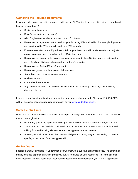# **Gathering the Required Documents**

It is a good idea to get everything you need to fill out the FAFSA first. Here is a list to get you started (and help cover your bases):

- Social security number
- Driver's license (if you have one)
- Alien Registration Number (if you are not a U.S. citizen)
- Records of money earned in the previous year including W2s and 1099s. For example, if you are applying for aid in 2013, you will need your 2012 records
- Previous year's tax return. If you have not done your taxes, you still must calculate your adjusted gross income and taxes by following the IRS instructions
- Records of any non-taxable income, such as social security benefits, temporary assistance for needy families, child support received and veteran's benefits
- Records of any Federal Work-Study earnings
- Records of grants, scholarships and fellowship aid
- Stock, bond, and other investment records
- **Business records**
- Current bank statements
- Any documentation of unusual financial circumstances, such as job loss, high medical bills, death, or divorce

In some cases, tax information for your guardian or spouse is also required. Please call 1-800-4-FED-AID for questions regarding required information or visit [www.studentaid.ed.gov.](http://www.studentaid.ed.gov/)

# **Some Helpful Hints**

When you fill out your FAFSA, remember these important things to make sure that you receive all the aid that you are eligible for.

- For money questions, if you have nothing to report do not leave the answer blank, use a zero
- The Earned Income Credit is considered "untaxed income". Retirement plan contributions and military food and housing allowances are other types of untaxed income
- Answer yes to all types of aid; this does not obligate you to anything and answering no does not qualify you for more of another type of aid.

# **Go For Grants!**

Federal grants are available for undergraduate students with a substantial financial need. The amount of money awarded depends on which grants you qualify for based on your resources. As is the case for other means of financial assistance, your need is determined by the results of your FAFSA application.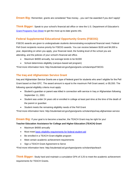**Dream Big:** Remember, grants are considered "free money…you can't be awarded if you don't apply!

**Think Bigger:** Speak to your school's financial aid office or view the U.S. Department of Education's [Grant Programs Fact Sheet](http://studentaid.ed.gov/sites/default/files/federal-grant-programs.pdf) to get the most up-to-date grants info.

# **Federal Supplemental Educational Opportunity Grants (FSEOG)**

FSEOG awards are given to undergraduate students demonstrating exceptional financial need. Federal Pell Grant recipients receive priority for FSEOG awards. You can receive between \$100 and \$4,000 a year, depending on when you apply, your financial need, the funding level of the school you are attending, and the policies of your school's financial aid office.

- Maximum \$4000 annually, but average tends to be \$1000
- School determines eligibility (campus-based aid program)

\*Find more information here: http://studentaid.ed.gov/types/grants-scholarships/FSEOG

# **The Iraq and Afghanistan Service Grant**

Iraq and Afghanistan Service Grants are a type of federal grant for students who aren't eligible for the Pell Grant based on their EFC. The award amount is equal to the maximum Pell Grant award, or \$5,550. The following special eligibility criteria must apply:

- Student's guardian or parent was killed in connection with service in Iraq or Afghanistan following September 11, 2001
- Student was under 24 years old or enrolled in college at least part-time at the time of the death of the parent or guardian
- Student meets the remaining eligibility needs of the Pell Grant

\*Find more information here: http://studentaid.ed.gov/types/grants-scholarships/iraq-afghanistan-service

**Dream Big:** If your goal is to become a teacher, the TEACH Grant may be right for you!

#### **Teacher Education Assistance for College and Higher Education (TEACH) Grant**

- Maximum \$4000 annually
- Must meet [basic eligibility requirements for federal student aid](http://www.studentaid.ed.gov/eligibility/basic-criteria)
- Be enrolled in a TEACH-Grant eligible program
- Meet certain academic achievement requirements
- Sign a TEACH Grant Agreement to Serve

\*Find more information here: http://studentaid.ed.gov/types/grants-scholarships/teach

**Think Bigger:** Study hard and maintain a cumulative GPA of 3.25 to meet the academic achievement requirements for TEACH Grants.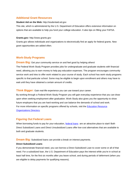#### **Additional Grant Resources**

#### **Student Aid on the Web:** http://studentaid.ed.gov

This site, which is administered by the U.S. Department of Education offers extensive information on options that are available to help you fund your college education. It also tips on filling your FAFSA.

#### **Grants.gov:** http://www.grants.gov

Grants.gov allows individuals and organizations to electronically find an apply for federal grants. New grant opportunities are added often.

#### **Work-Study Programs**

**Dream Big:** Get your community service on and feel good by helping others!

The Federal Work-Study Program provides jobs for undergraduate and graduate students with financial need, allowing you to earn money to help pay education expenses. The program encourages community service work and tries to offer work related to your course of study. Each school has work-study programs specific to that particular school. Some may be eligible to begin upon enrollment and others may have to wait until they have obtained a certain amount of credits.

**Think Bigger:** Gain real-life experience you can use toward your career.

By working through a Federal Work-Study Program you will gain everyday experience that you can draw upon when seeking employment after graduation. Work-Study also gives you the opportunity to show future employers that you are hard-working and can balance the demands of school and work. For more information on specific programs offered by schools, visit the **Education Resource** [Organizations Directory.](http://wdcrobcolp01.ed.gov/Programs/EROD/org_list.cfm?category_ID=SHE)

#### **Figuring Out Federal Loans**

When borrowing funds to pay for your education, [federal loans](http://studentaid.ed.gov/sites/default/files/federal-loan-programs.pdf) are an attractive place to start! Both Direct Subsidized Loans and Direct Unsubsidized Loans offer low-cost alternatives that are available to both and graduate students.

**Dream Big:** Subsidized loans can provide a break on interest payments.

#### **Direct Subsidized Loans**

If you demonstrate financial need, you can borrow a Direct Subsidized Loan to cover some or all of that need. For a subsidized loan, the U.S. Department of Education pays the interest while you're in school at least half time, for the first six months after you leave school, and during periods of deferment (when you are eligible to delay payments for qualifying reasons).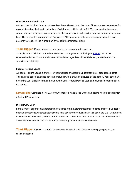#### **Direct Unsubsidized Loan**

A Direct Unsubsidized Loan is not based on financial need. With this type of loan, you are responsible for paying interest on the loan from the time it's disbursed until it's paid in full. You can pay the interest as you go or allow the interest to accrue (accumulate) and have it added to the principal amount of your loan later. This means the interest will be "capitalized." Keep in mind that if interest accumulates, the total amount you repay will be higher than if you paid the interest all along.

#### **Think Bigger:** Paying interest as you go may save money in the long run.

To apply for a subsidized or unsubsidized Direct Loan, you must submit your **FAFSA**. While the Unsubsidized Direct Loan is available to all students regardless of financial need, a FAFSA must be submitted for eligibility.

#### **Federal Perkins Loans**

A Federal Perkins Loans is another low-interest loan available to undergraduate or graduate students. This campus-based loan uses government funds with a share contributed by the school. Your school will determine your eligibility for and the amount of your Federal Perkins Loan and payment is made back to the school.

**Dream Big:** Complete a FAFSA so your school's Financial Aid Office can determine your eligibility for a Federal Perkins Loan.

#### **Direct PLUS Loan**

For parents of dependent undergraduate students or graduate/professional students, Direct PLUS loans offer an attractive low-interest alternative to help pay for their education. In this case, the U.S. Department of Education is the lender, and the borrower must not have an adverse credit history. The maximum loan amount is the student's cost of attendance minus any other financial aid received.

**Think Bigger:** If you're a parent of a dependent student, a PLUS loan may help you pay for your child's education.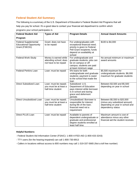# **Federal Student Aid Summary**

The following is a summary of the U.S. Department of Education's Federal Student Aid Programs that will help you pay for school. It's a good idea to contact your financial aid department to confirm which programs your school participates in.

| <b>Federal Student Aid</b>                                                     | <b>Types of Aid</b>                                                      | <b>Program Details</b>                                                                                                                                        | <b>Annual Award Amounts</b>                                                                                          |
|--------------------------------------------------------------------------------|--------------------------------------------------------------------------|---------------------------------------------------------------------------------------------------------------------------------------------------------------|----------------------------------------------------------------------------------------------------------------------|
| Program                                                                        |                                                                          |                                                                                                                                                               |                                                                                                                      |
| <b>Federal Supplemental</b><br><b>Educational Opportunity</b><br>Grant (FSEOG) | Grant: does not have<br>to be repaid                                     | For undergraduates with<br>exceptional financial need;<br>priority is given to Federal<br>Pell Grant recipients; funds<br>depend on availability at<br>school | \$100 to \$4,000                                                                                                     |
| Federal Work-Study                                                             | Money is earned while<br>attending school; does<br>not have to be repaid | For undergraduate and<br>graduate students; jobs can<br>be on campus or off<br>campus; students are paid<br>at least minimum wage                             | No annual minimum or maximum<br>award amounts                                                                        |
| <b>Federal Perkins Loan</b>                                                    | Loan: must be repaid                                                     | 5% loans for both<br>undergraduate and graduate<br>students; payment is owed<br>to the school that made the<br>loan                                           | \$5,500 maximum for<br>undergraduate students; \$8,000<br>maximum for graduate students                              |
| Direct Subsidized Loan                                                         | Loan: must be repaid;<br>you must be at least a<br>half-time student     | Subsidized: U.S.<br>Department of Education<br>pays interest while borrower<br>is in school and during<br>grace and deferment<br>periods                      | Between \$3,500 and \$5,500<br>depending on year in school                                                           |
| Direct Unsubsidized Loan                                                       | Loan: must be repaid;<br>you must be at least a<br>half-time student     | Unsubsidized: Borrower is<br>responsible for interest<br>during life of the loan;<br>financial need not a<br>requirement                                      | Between \$5,550 to \$20,500<br>(minus any subsidized amount)<br>depending on year in school and<br>dependency status |
| Direct PLUS Loan                                                               | Loan: must be repaid                                                     | Available to parents of<br>dependent undergraduate or<br>graduate and professional<br>degree students enrolled at<br>least half time                          | Maximum amount is cost of<br>attendance minus any other<br>financial aid the student receives                        |

#### **Helpful Numbers:**

- Federal Student Aid Information Center (FSAIC): 1-800-4-FED-AID (1-800-433-3243)
- TTY users (for the hearing-impaired) can call 1-800-730-8913
- Callers in locations without access to 800 numbers may call 1-319-337-5665 (Not a toll free number)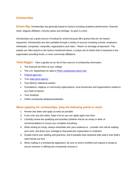# **Scholarships**

**Dream Big:** Scholarships are generally based on factors including academic performance, financial need, religious affiliation, minority status and heritage. So give it a shot!

Scholarships are a great source of funding for school because (like grants) they do not require repayment. Scholarships are also available through a variety of sources including schools, employers, individuals, companies, nonprofits, organizations and clubs – there's no shortage of sponsors! The awards are often based on the factors mentioned above, a unique set of criteria that is important to the organization providing funds, or even community affiliations.

**Think Bigger:** Take a gander at our list of free sources of scholarship information:

- The financial aid office at your college
- The U.S. Department of Labor's FREE scholarship search tool
- [Federal agencies](http://studentaid.ed.gov/node/4/#aid-from-the-federal-government)
- Your state grant agency
- Your library's reference section
- Foundations, religious or community organizations, local businesses and organizations related to your field of interest
- Your employer
- Online scholarship databases/websites

# **When applying for scholarships, keep the following points in mind:**

- 1. Review due dates and apply as early as possible
- 2. If you miss any due dates, keep a list so you can apply again next time
- 3. Carefully review the qualifying and activities (whether that be an essay or letter of recommendation) to ensure you complete everything
- 4. When writing an essay, always remember who your audience is…consider who will be reading your work, and direct your verbiage to that particular organization or institution
- 5. Double-check your spelling and grammar, and if possible have someone else read it over (that's what friends are for!)
- 6. When mailing in a scholarship application, be sure to send it certified and request a receipt to ensure whoever is offering the scholarship receives it.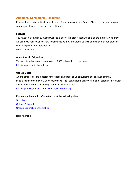# **Additional Scholarship Resources**

Many websites exist that include a plethora of scholarship options. Bonus: Often you can search using your personal criteria. Here are a few of them.

#### **FastWeb**

You must create a profile, but this website is one of the largest lists available on the internet. Also, they will send you notifications of new scholarships as they are added, as well as reminders of due dates of scholarships you are interested in.

[www.fastweb.com](http://www.fastweb.com/)

#### **Adventures in Education**

This website allows you to search over 15,000 scholarships by keyword. <http://www.aie.org/scholarships/>

#### **College Board**

Among other tools, like a search for colleges and financial aid calculators, this site also offers a scholarship search of over 2,300 scholarships. Their search form allows you to enter personal information and academic information to help narrow down your search. [http://apps.collegeboard.com/cbsearch\\_ss/welcome.jsp](http://apps.collegeboard.com/cbsearch_ss/welcome.jsp)

#### **For more scholarship information, visit the following sites:**

[Sallie Mae](https://www.salliemae.com/) [College Scholarships](http://www.college-scholarships.com/) [College Connection Scholarships](http://www.collegescholarships.com/)

Happy hunting!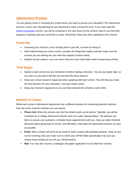# *Admissions Process*

You are getting closer to choosing the school where you want to pursue your education! The Admissions process is when your big planning for your big dreams starts coming full circle. If you have used the [School Connection](http://www.southfloridaschoolconnection.com/) service, you will be contacted in the near future by the schools close to you that offer programs matching what you would like to study. Remember these tips when speaking to the schools:

# **Dream Big**

- Choosing your school is a very exciting time in your life, so have fun doing it!
- When determining your future school, consider the things that matter and then make sure the schools you are looking into can meet the majority of these needs.
- Explore all your options—you can never have too much information when researching schools.

# **Think Bigger**

- Speak to each school you are interested in before making a decision. You set your goals high, so you owe it to yourself to find the one that best fits those dreams!
- Keep your school research organized when speaking with each school. This will help you make the best decision for your education—and your future career.
- Keep your research organized so you can best compare the schools to each other.

# **Methods of Contact**

While each school's Admissions department has a different practice for contacting potential students, here are some common methods you can expect:

- **Phone Call:** When the schools call, don't be afraid to pick up the phone! Typically, you will be contacted by a College Admissions Advisor and not a sales representative. The advisors are there to answer your questions, schedule future appointments with you, help you make informed decisions about going back to school, and ultimately, help make the Admissions process as easy as possible.
- **Email:** Many schools will send out an email to make contact with potential students. Keep an eye out for incoming mail, and make sure to check your SPAM folder periodically to be sure you receive these emails (or turn off your SPAM blocks).
- **Mail:** You may also receive a catalogue and paper application via US Mail from schools.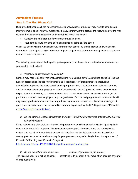#### **Admissions Process**

# **Step 1: The First Phone Call**

During the first phone call, the Admissions/Enrollment Advisor or Counselor may want to schedule an interview time to speak with you. Otherwise, the advisor may want to discuss the following during the first call and then schedule an interview or a time for you to visit the school:

- Selecting the right program for your career and life goals
- Your schedule and any time or life constraints for going back to school

When you speak with the Admissions Advisor from each school, he should provide you with specific information regarding the school and its offerings. It's a good idea to ask the same questions so you can make accurate comparisons.

The following questions will be helpful to you — you can print these out and write down the answers as you speak to each school:

#### *1. What type of accreditation do you hold?*

Schools may hold regional or national accreditations from various private accrediting agencies. The two types of accreditation include "institutional" and "specialized," or "programmic." An institutional accreditation applies to the entire school and its programs, while a specialized accreditation generally applies to a specific degree program or school of study within the college or university. Accreditations help to ensure that the degree earned matches a certain industry standard for level of knowledge and proficiency obtained. Most employers only hire graduates of accredited programs and most schools will only accept graduate students with undergraduate degrees from accredited universities or colleges. A good place to start a search for an accredited program is provided by the U.S. Department of Education, at<http://ope.ed.gov/accreditation/> .

*2. Do you offer any school scholarships or grants? Title IV funding (government financial aid)? Help with private loans?*

Some schools may offer their own financial aid packages to qualifying students. Most will participate in state and/or federal aid programs. Private loans may be a good alternative if you are not eligible for federal or state aid, or if your federal or state aid doesn't cover the full tuition amount. An excellent starting point for questions on how to pay for your post-secondary schooling is the U.S. Department of Education's "Funding Your Education" page, at

<http://studentaid.ed.gov/PORTALSWebApp/students/english/funding.jsp> .

*3. Do you accept transfer credits from \_\_\_\_\_\_\_ school? (if you have any to transfer)* The rules will vary from school to school — something to think about if you move often because of your or your spouse's work.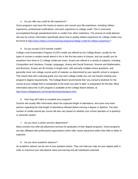#### *4. Do you offer any credit for life experience?*

Some programs may have the means to assess and convert your life experience, including military experience, professional certifications, and work experience to college credit. This is commonly accomplished through standardized tests or credits from other institutions. The amount of credit allowed will vary by school. Information specifically about how to qualify military experience for college credits may be found at<http://www.military.com/timesaving-programs/college-credit-for-military-experience> \*

#### *5. Do you accept CLEP transfer credits?*

College Level Examination Program (CLEP) credits are offered by the College Board, usually for the types of courses a student would attend in his or her first two years of classes, and can qualify you for anywhere from three to 12 college credits per exam. Exams are offered in a variety of subjects, including Composition and Literature, Foreign Languages, History and Social Sciences, Science and Mathematics, and Business. Exams are 90 minutes in length each, with primarily multiple-choice questions, and generally cover one college course worth of material, as determined by your specific school or program. This means that with a passing grade you may earn college credits you can use toward meeting your program's degree requirements. The College Board recommends that "you consult a textbook for the course at your college that is comparable to the exam you plan to take" in preparation for the test. More information about the CLEP program is available at the College Board website, at [http://www.collegeboard.com/student/testing/clep/about.html.](http://www.collegeboard.com/student/testing/clep/about.html)

#### *6. How long will it take to complete your program?*

Schools will usually offer information about the expected length of attendance, and some may have policies regarding the total length of attendance allowed before earning a degree or diploma. The total number of credits earned per course will also vary based on whether your school operates on a quarterly or semester system.

#### *7. Do you have a career services department?*

Many schools now offer job placement services for graduates of their degree programs. Some programs are also affiliated with professional organizations which offer career placement within their field or fields of expertise.

#### *8. Do you have academic advisors?*

An academic advisor can be one of your greatest assets. They can help you map out your degree path in order to maximize your educational value and earning and job satisfaction potential.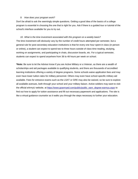#### *9. How does your program work?*

Don't be afraid to ask the seemingly simple questions. Getting a good idea of the basics of a college program is essential in choosing the one that is right for you. Ask if there is a guided tour or tutorial of the school's interface available for you to try out.

*10. What is the time investment associated with this program on a weekly basis?* The time investment will obviously vary by the number of credit hours attempted per semester, but a general rule for post-secondary education institutions is that for every one hour spent in class (in person or online), a student can expect to spend two to three hours outside of class time reading, studying, working on assignments, and participating in chats, discussion boards, etc. For a typical semester, students can expect to spend anywhere from 36 to 48 hours per week on school.

**\*Note:** Be sure to let the Advisor know if you are Active Military or a Veteran, as there are a wealth of scholarships and aid packages available to qualifying students, and there are thousands of accredited learning institutions offering a variety of degree programs. Some schools waive application fees and may even have lower tuition rates for military personnel. Others may even have school-specific military aid available. Fees for entrance exams such as the LSAT or GRE may also be waived, so be sure to explore all available avenues, both through your school and your military liaison. Active soldiers may want to visit the official eArmyU website, at [https://www.goarmyed.com/public/public\\_earn\\_degree-earmyu.aspx](https://www.goarmyed.com/public/public_earn_degree-earmyu.aspx) to find out how to apply for tuition assistance and fill out necessary paperwork and applications. The site is like a virtual guidance counselor as it walks you through the steps necessary to further your education.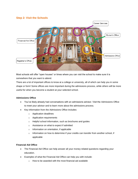# **Step 2: Visit the Schools**



Most schools will offer "open houses" or times where you can visit the school to make sure it is somewhere that you want to attend.

There are a lot of important offices to know at a college or university, all of which can help you in some shape or form! Some offices are more important during the admissions process, while others will be more useful for when you become a student at your selected school.

#### **Admissions Office**

- You've likely already had conversations with an admissions advisor. Visit the Admissions Office to meet your advisor and to learn more about the admissions process.
- Key information from the Admissions Office includes:
	- o Application deadlines
	- o Application requirements
	- o Helpful school information, such as brochures and guides
	- o Assistance on what to expect if admitted
	- o Information on orientation, if applicable
	- $\circ$  Information on how to determine if your credits can transfer from another school, if applicable

#### **Financial Aid Office**

- The Financial Aid Office can help answer all your money-related questions regarding your education.
- Examples of what the Financial Aid Office can help you with include:
	- o How to be awarded with the most financial aid available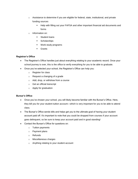- $\circ$  Assistance to determine if you are eligible for federal, state, institutional, and private funding sources
	- Help with filling out your FAFSA and other important financial aid documents and forms
- o Information on:
	- Student loans
	- **Scholarships**
	- Work-study programs
	- **Grants**

#### **Registrar's Office**

- The Registrar's Office handles just about everything relating to your academic record. Once your school journey is over, this is the office to verify everything for you to be able to graduate.
- Once you've selected your school, the Registrar's Office can help you:
	- o Register for class
	- o Request a changing of a grade
	- o Add, drop, or withdraw from a course
	- o Get an official transcript
	- o Apply for graduation

#### **Bursar's Office**

- Once you've chosen your school, you will likely become familiar with the Bursar's Office. Here, they bill you for your student tuition account—which is very important for you to be able to attend class.
- The Bursar's Office sends bills and helps get you to the ultimate goal of having your student account paid off. It's important to note that you could be dropped from courses if your account goes delinquent, so be sure to keep your account paid and in good standing!
- Contact the Bursar's Office for questions on:
	- o Tuition payments
	- o Payment plans
	- o Refunds
	- o Miscellaneous charges
	- o Anything relating to your student account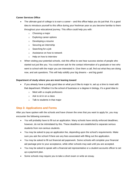#### **Career Services Office**

- The ultimate goal of college is to earn a career and this office helps you do just that. It's a good idea to introduce yourself to this office during your freshman year so you become familiar to them throughout your educational journey. This office could help you with:
	- o Choosing a major
	- o Exploring career options
	- o Developing a resume
	- o Securing an internship
	- o Searching for a job
	- o Assistance on how to network
	- o Help on how to interview
- When visiting your potential schools, visit this office to see hear success stories of people who started out just like you. You could even ask for the contact information of a graduate or two who went to school with the major you are interested in. Give them a call, find out what they are doing now, and ask questions. This will help solidify your big dreams – and big goals!

#### **Department of study where you are most leaning toward**

- If you already have a pretty good idea on what you'd like to major in, set up a time to meet with that department. Whether it is the school of business or a degree in biology, it's a good idea to:
	- o Meet with a couple professors
	- o Ask to sit in on a class
	- o Talk to students in that major

# **Step 3: Applications and Forms**

After you have spoken with the schools and have chosen the ones that you want to apply for, you may encounter the following scenarios.

- You will probably have to fill out an application. Many schools have strictly enforced deadlines; however, do not be intimidated by this. These deadlines are established to separate serious students from non-serious students.
- You may be asked to pay an application fee, depending upon the school's requirements. Make sure you ask the school if there are any fees associated with filling out the application.
- You may be asked to fill out financial aid paperwork. Some schools will complete your financial aid package prior to your acceptance, while other schools may wait until you are accepted.
- You may be asked to speak with a financial aid representative or a student accounts officer to set up a payment plan.
- Some schools may require you to take a short exam or write an essay.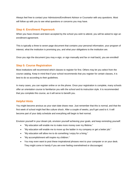Always feel free to contact your Admissions/Enrollment Advisor or Counselor with any questions. Most will follow up with you to see what questions or concerns you may have.

# **Step 4: Enrollment Paperwork**

When you have chosen and been accepted by the school you wish to attend, you will be asked to sign an enrollment agreement.

This is typically a three to seven page document that contains your personal information, your program of interest, what the institution is promising you, and what your obligations to the institution are.

Once you sign the document (you may e-sign, or sign manually and fax or mail back), you are enrolled!

# **Step 5: Course Registration**

Most institutions will recommend which classes to register for first. Others may let you select from the course catalog. Keep in mind that if your school recommends that you register for certain classes, it is best to do so according to their guidelines.

In many cases, you can register online or on the phone. Once your registration is complete, many schools offer an orientation course to familiarize you with the school and its instruction style. It is recommended that you complete this course, as it will serve to benefit you.

# **Helpful Hints**

You might become anxious as your start date draws near. Just remember that this is normal, and that the first week of school might feel like culture shock. After a couple of weeks, you'll get used to it. It will become part of your daily schedule and everything will begin to feel normal.

Envision yourself in your dream job, envision yourself achieving your goals, and keep reminding yourself:

- "My education will enable me to make more money over my lifetime."
- "My education will enable me to move up the ladder in my company or get a better job."
- "My education will allow me to do something I enjoy for a living."
- "My accomplishment will inspire my children."
- You may even want to post these inspirational phrases next to your computer or on your desk. They might come in handy if you are ever feeling overwhelmed or discouraged.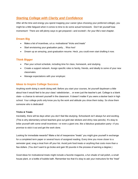# *Starting College with Clarity and Confidence*

After all the time and energy you spend mapping your career (plus choosing your preferred college), you might be a little fatigued when it comes to time to do some actual homework. Don't let yourself lose momentum! There are still plenty ways to get prepared—and excited!—for your life's next chapter.

# **Dream Big**

- Make a list of incentives, a.k.a. motivational "tricks and treats"
- Start envisioning your graduation party... Woo hoo!
- Dream up an amazing, post-graduation resume. Heck, you could even start drafting it now.

# **Think Bigger**

- Plan your school schedule, including time for class, homework, and studying.
- Create a support network. Assign specific roles to family, friends, and ideally to some of your new classmates.
- Manage expectations with your employer.

# **Ideas to Inspire College Success**

Anything worth doing is worth doing well. Before you start your courses, let yourself daydream a little about how it would feel to be your class' valedictorian… or even just the teacher's pet. College is a blank slate—a chance to reinvent yourself in the classroom. It doesn't matter if you were a slacker back in high school. Your college profs only know you by the work and attitude you show them today. So show them someone who is dedicated!

#### **Tricks & Treats**

Inevitably, there will be days when you don't feel like studying. Schoolwork isn't always fun and exciting. (This is why elementary school teachers give out gold star stickers and shiny new pencils). It's okay to bribe yourself with some small incentives—or even a giant one, like a fabulous graduation party—if you promise to stick it out and get the work done.

Looking for immediate rewards? Make a list of inexpensive "treats" you might give yourself in exchange for a completed term paper or several hours of assigned reading. Every time you move closer to a semester goal, snag a treat from off your list. Avoid junk food treats or anything that costs more than a few dollars. (You don't want to go broke and gain 50 pounds in the process of earning a degree.)

Good ideas for motivational treats might include a favorite magazine, a fun shade of nail polish, a small house plant, or a bottle of bubble bath. Remember too that it's okay to ask your instructors for the "treat"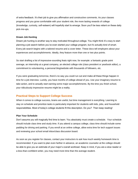of extra feedback. It's their job to give you affirmation and constructive comments. As your classes progress and you grow comfortable with your student role, the more lasting rewards of college (knowledge, curiosity, self-esteem) will hopefully start to emerge. Soon you'll be less reliant on these daily pick-me-ups.

#### **Dream Job Hunting**

Dream job hunting is another way to stay motivated throughout college. You might think it's crazy to start planning a job search before you've even started your college program, but it's actually kind of smart. Every job search begins with a tailored resume and a cover letter. These docs tell employers about your experiences and accomplishments. Ideally, they feature more than one or two plus points.

So start drafting a list of impressive-sounding feats right now, for example: a fantastic grade point average, an internship at a great company, an elected college role (class president or yearbook editor), a commitment to volunteering, a personal blog/website with thousands of followers, etc.

If you were graduating tomorrow, there's no way you could run out and make all these things happen in time for a job interview. Luckily, you have months of college ahead of you. Use your imaginary resume to take action, and to actually start earning some major accomplishments. By the time you finish school, your ridiculously impressive resume might be a reality.

#### **Practical Steps to Support College Success**

When it comes to college success, brains are useful, but time management is everything. Learning to stay on schedule and prioritize tasks is particularly important for students with kids, jobs, and household responsibilities. Most of today's college students fit this description. Do you? Then keep reading!

#### **Plan Your Schedule**

Don't assume you will magically find time to learn. You absolutely must create a schedule. Your schedule should include class time and study time. If you attend a campus college, class time should include some padding for driving and parking. If you enroll at an online college, allow extra time for tech support issues and reviewing your school email inbox/class discussion board.

As soon as you register for classes, contact your instructors to ask how much weekly homework time is recommended. If you want to plan even farther in advance, an academic counselor at the college should be able to give you an estimate of your major's overall workload. Keep in mind, if you are a slow reader or a less-than-confident writer, you may need more time than the average student.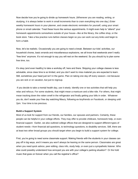Now decide how you're going to divide up homework hours. (Whenever you are reading, writing, or studying, it is always better to work in small increments than to cram everything into one day.) Enter weekly homework hours in your planner, and create electronic reminders for yourself, using your smart phone or email calendar. Treat these hours like serious appointments. It might even help to "attend" your homework appointments somewhere outside of your house—like at the library, the coffee shop, or the book store. Take a few practice runs before classes begin so you can work out any kinks and begin to form a habit.

Now, let's be realistic. Occasionally you are going to need a break. Between our kids' activities, our household chores, basic errands and miscellaneous explosions, we all know that weekends aren't really "free time" anymore. It's not enough to say you will rest on the weekend. So you should try to plan some free time, too.

It's okay (and even healthy) to take a workday off, here and there. Skipping your college classes is less advisable, since class time is so limited, and you don't want to miss material you are expected to learn. Still, sometimes your head just isn't in the game. Plan on taking one day off every season—not because you are sick or on vacation, but just to regroup.

If you decide to take a mental health day, use it wisely. Identify one or two activities that will help you relax and refocus. For some students, that might mean a manicure and a bike ride. For others, that might mean tracking down the rotten smell in the refrigerator and finally getting your bills in order. Whatever you do, don't waste your free day watching Maury, following ex-boyfriends on Facebook, or sleeping until 2pm. Your time is too precious.

#### **Build a Support System**

Most of us look for support from our friends, our families, our spouses and partners. Certainly, these people can be helpful in your college efforts. They may offer to provide childcare, homework help, or even financial support. Earlier, we also outlined college offices that are designed to support different types of student needs—from financial aid questions, to technology questions, to disability services. Still, there are at least two other broad groups you should target when you begin to build a support system for college.

First, you're going to need some classmate support. Making friends with the students in your classes can pay off in big ways, and it means you won't always be leaning on the same person. Classmates are great when you need quick advice, peer editing, class info, study help, or even just a sympathetic listener. Who else could possibly understand how annoyed you are with your college's parking situation? Or the hold music that goes on forever when you call the registrar's office?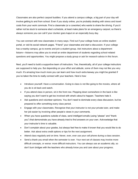Classmates are also perfect carpool buddies. If you attend a campus college, a big part of your day will involve getting to and from school. Even if you study online, you're probably dealing with stress and travel costs from your work commute. Find a classmate (or a coworker) who wants to share the driving. If you'd rather not be stuck to someone else's schedule, at least make plans for an emergency carpool, so there's always someone you can call if your clunker goes kaput on an especially busy day.

You can connect with new classmates in many ways. Find out if your college hosts an online student portal, or visit its social network pages. "Friend" your classmates and start a discussion. If your college has a nearby campus, go to events and join a student group. Ask instructors about a department listserv—listservs may allow you to email an entire department of students regarding school-related questions and opportunities. You might propose a study group or ask for research advice in this forum.

Next, you'll need to build a supportive team of instructors. Yes, theoretically, all of your college instructors are supposed to help you. But depending on your effort and attitude, some of them may not like you very much. It's amazing how much more you can learn and how much extra leeway you might be granted if you've taken the time to really connect with your teachers. Here's how:

- Introduce yourself. Have a conversation. Going to class is not like going to the movies, where all you do is sit back and watch.
- If you attend class in person, sit in the front row. Plopping down somewhere in the back is like saying you don't want to get too involved with what's about to happen. Teachers hate it.
- Ask questions and volunteer opinions. You don't need to dominate every class discussion, but be prepared to offer something every class period.
- Engage with your classmates. Recognize that your instructor is not your private tutor, and make her job easier by involving other people's views in your comments.
- When you have questions outside of class, send intelligent emails (using "please" and "thank you") that demonstrate you have already tried to find answers on your own. Acknowledge that your instructor's time is valuable.
- Don't complain about your grades, but always feel free to make it known that you would like to do better. Ask about extra credit options or tips for the next assignment.
- Attend class regularly and on time. Never, ever, ever use your cell phone during a class session.
- Send a thank-you email when the semester is over. Your next set of classes may involve more difficult concepts, or worse: more difficult instructors. You can always use an academic ally, so don't burn bridges with the teachers who already know you and care about your progress.